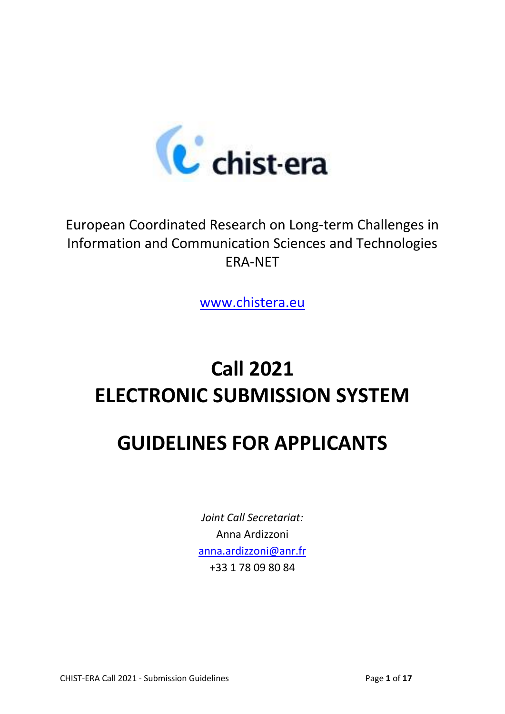

## European Coordinated Research on Long-term Challenges in Information and Communication Sciences and Technologies ERA-NET

[www.chistera.eu](http://www.chistera.eu/)

# **Call 2021 ELECTRONIC SUBMISSION SYSTEM**

# **GUIDELINES FOR APPLICANTS**

*Joint Call Secretariat:* Anna Ardizzoni [anna.ardizzoni@anr.fr](mailto:anna.ardizzoni@anr.fr) +33 1 78 09 80 84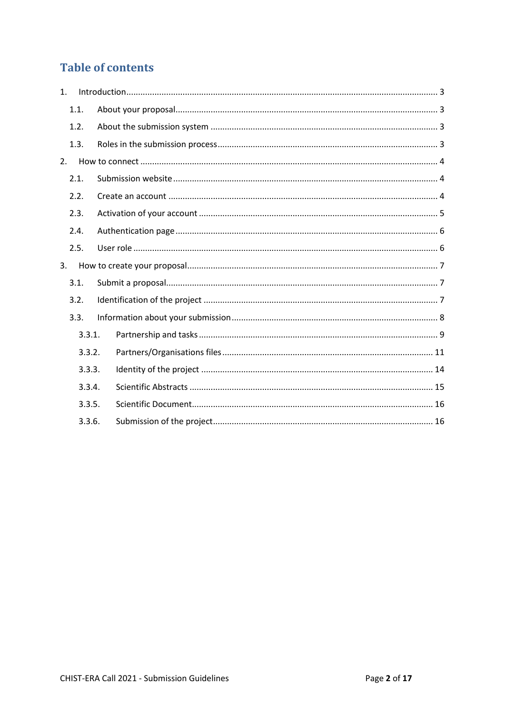### **Table of contents**

| 1. |        |  |
|----|--------|--|
|    | 1.1.   |  |
|    | 1.2.   |  |
|    | 1.3.   |  |
| 2. |        |  |
|    | 2.1.   |  |
|    | 2.2.   |  |
|    | 2.3.   |  |
|    | 2.4.   |  |
|    | 2.5.   |  |
| 3. |        |  |
|    | 3.1.   |  |
|    | 3.2.   |  |
|    | 3.3.   |  |
|    | 3.3.1. |  |
|    | 3.3.2. |  |
|    | 3.3.3. |  |
|    | 3.3.4. |  |
|    | 3.3.5. |  |
|    | 3.3.6. |  |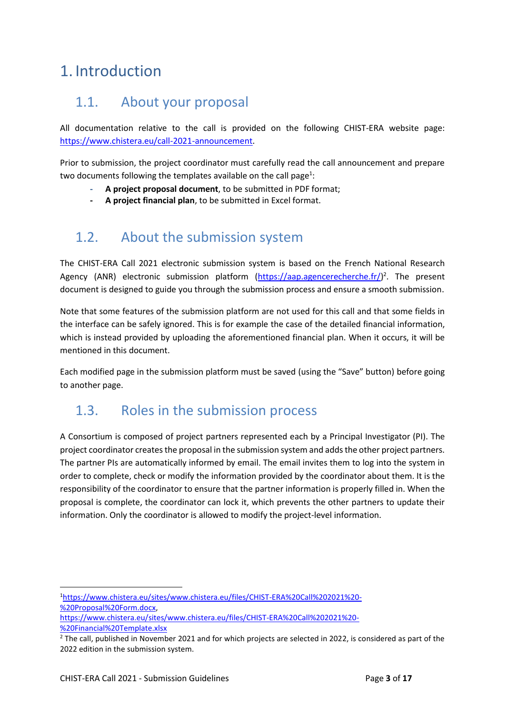## <span id="page-2-0"></span>1. Introduction

### <span id="page-2-1"></span>1.1. About your proposal

All documentation relative to the call is provided on the following CHIST-ERA website page: [https://www.chistera.eu/call-2021-announcement.](https://www.chistera.eu/call-2021-announcement)

Prior to submission, the project coordinator must carefully read the call announcement and prepare two documents following the templates available on the call page<sup>1</sup>:

- **- A project proposal document**, to be submitted in PDF format;
- **- A project financial plan**, to be submitted in Excel format.

## <span id="page-2-2"></span>1.2. About the submission system

The CHIST-ERA Call 2021 electronic submission system is based on the French National Research Agency (ANR) electronic submission platform [\(https://aap.agencerecherche.fr/\)](https://aap.agencerecherche.fr/)<sup>2</sup>. The present document is designed to guide you through the submission process and ensure a smooth submission.

Note that some features of the submission platform are not used for this call and that some fields in the interface can be safely ignored. This is for example the case of the detailed financial information, which is instead provided by uploading the aforementioned financial plan. When it occurs, it will be mentioned in this document.

Each modified page in the submission platform must be saved (using the "Save" button) before going to another page.

### <span id="page-2-3"></span>1.3. Roles in the submission process

A Consortium is composed of project partners represented each by a Principal Investigator (PI). The project coordinator createsthe proposal in the submission system and adds the other project partners. The partner PIs are automatically informed by email. The email invites them to log into the system in order to complete, check or modify the information provided by the coordinator about them. It is the responsibility of the coordinator to ensure that the partner information is properly filled in. When the proposal is complete, the coordinator can lock it, which prevents the other partners to update their information. Only the coordinator is allowed to modify the project-level information.

<sup>1</sup>[https://www.chistera.eu/sites/www.chistera.eu/files/CHIST-ERA%20Call%202021%20-](https://www.chistera.eu/sites/www.chistera.eu/files/CHIST-ERA%20Call%202021%20-%20Proposal%20Form.docx) [%20Proposal%20Form.docx,](https://www.chistera.eu/sites/www.chistera.eu/files/CHIST-ERA%20Call%202021%20-%20Proposal%20Form.docx)

1

[https://www.chistera.eu/sites/www.chistera.eu/files/CHIST-ERA%20Call%202021%20-](https://www.chistera.eu/sites/www.chistera.eu/files/CHIST-ERA%20Call%202021%20-%20Financial%20Template.xlsx) [%20Financial%20Template.xlsx](https://www.chistera.eu/sites/www.chistera.eu/files/CHIST-ERA%20Call%202021%20-%20Financial%20Template.xlsx)

 $2$  The call, published in November 2021 and for which projects are selected in 2022, is considered as part of the 2022 edition in the submission system.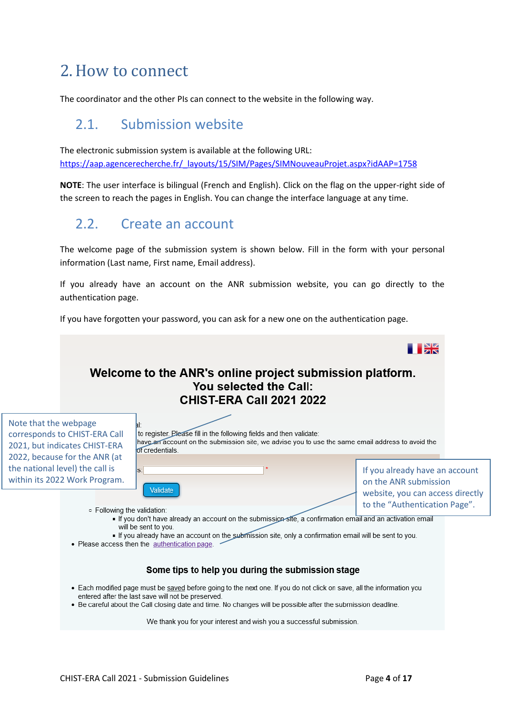## <span id="page-3-0"></span>2.How to connect

The coordinator and the other PIs can connect to the website in the following way.

### <span id="page-3-1"></span>2.1. Submission website

The electronic submission system is available at the following URL: [https://aap.agencerecherche.fr/\\_layouts/15/SIM/Pages/SIMNouveauProjet.aspx?idAAP=1758](https://aap.agencerecherche.fr/_layouts/15/SIM/Pages/SIMNouveauProjet.aspx?idAAP=1758)

**NOTE**: The user interface is bilingual (French and English). Click on the flag on the upper-right side of the screen to reach the pages in English. You can change the interface language at any time.

## <span id="page-3-2"></span>2.2. Create an account

The welcome page of the submission system is shown below. Fill in the form with your personal information (Last name, First name, Email address).

If you already have an account on the ANR submission website, you can go directly to the authentication page.

If you have forgotten your password, you can ask for a new one on the authentication page.



We thank you for your interest and wish you a successful submission.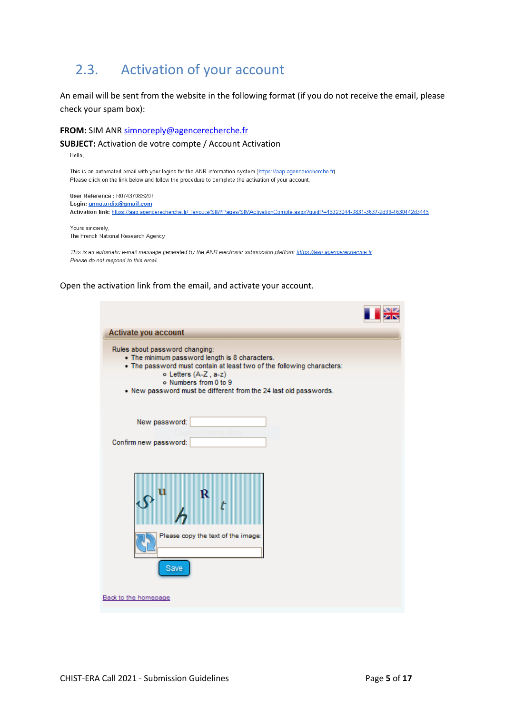## <span id="page-4-0"></span>2.3. Activation of your account

An email will be sent from the website in the following format (if you do not receive the email, please check your spam box):

#### **FROM:** SIM ANR [simnoreply@agencerecherche.fr](mailto:simnoreply@agencerecherche.fr)

#### **SUBJECT:** Activation de votre compte / Account Activation

Hello.

This is an automated email with your logins for the ANR information system (https://aap.agencerecherche.fr). Please click on the link below and follow the procedure to complete the activation of your account.

User Reference: R0743708S207 Login: anna.ardix@gmail.com Activation link: https://aap.agencerecherche.fr/ layouts/SIM/Pages/SIMActivationCompte.aspx?guidP=46323044-3831-3637-2d39-4630442d3445

Yours sincerely, The French National Research Agency

This is an automatic e-mail message generated by the ANR electronic submission platform https://aap.agencerecherche.fr. Please do not respond to this email.

#### Open the activation link from the email, and activate your account.

| Activate you account                                                                                                                                                                                                                                                           |
|--------------------------------------------------------------------------------------------------------------------------------------------------------------------------------------------------------------------------------------------------------------------------------|
| Rules about password changing:<br>• The minimum password length is 8 characters.<br>. The password must contain at least two of the following characters:<br>o Letters (A-Z, a-z)<br>o Numbers from 0 to 9<br>. New password must be different from the 24 last old passwords. |
| New password:<br>Confirm new password:                                                                                                                                                                                                                                         |
|                                                                                                                                                                                                                                                                                |
| Please copy the text of the image:<br>Save                                                                                                                                                                                                                                     |
| Back to the homepage                                                                                                                                                                                                                                                           |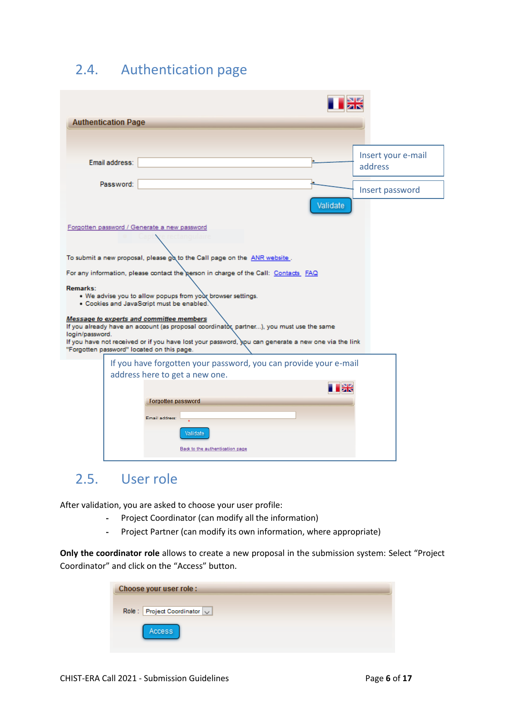## <span id="page-5-0"></span>2.4. Authentication page

|                 | <b>Authentication Page</b> |                                                                                                                                                                                                                                                                                           |                               |  |
|-----------------|----------------------------|-------------------------------------------------------------------------------------------------------------------------------------------------------------------------------------------------------------------------------------------------------------------------------------------|-------------------------------|--|
|                 |                            |                                                                                                                                                                                                                                                                                           |                               |  |
|                 | Email address:             |                                                                                                                                                                                                                                                                                           | Insert your e-mail<br>address |  |
|                 | Password:                  |                                                                                                                                                                                                                                                                                           | Insert password               |  |
|                 |                            | Validate                                                                                                                                                                                                                                                                                  |                               |  |
|                 |                            | Forgotten password / Generate a new password                                                                                                                                                                                                                                              |                               |  |
|                 |                            |                                                                                                                                                                                                                                                                                           |                               |  |
|                 |                            | To submit a new proposal, please go to the Call page on the ANR website.                                                                                                                                                                                                                  |                               |  |
|                 |                            | For any information, please contact the gerson in charge of the Call: Contacts FAQ                                                                                                                                                                                                        |                               |  |
| Remarks:        |                            | . We advise you to allow popups from your browser settings.<br>· Cookies and JavaScript must be enabled.                                                                                                                                                                                  |                               |  |
| login/password. |                            | Message to experts and committee members<br>If you already have an account (as proposal coordinator, partner), you must use the same<br>If you have not received or if you have lost your password, you can generate a new one via the link<br>"Forgotten password" located on this page. |                               |  |
|                 |                            | If you have forgotten your password, you can provide your e-mail                                                                                                                                                                                                                          |                               |  |
|                 |                            | address here to get a new one.                                                                                                                                                                                                                                                            |                               |  |
|                 |                            | ER                                                                                                                                                                                                                                                                                        |                               |  |
|                 |                            | <b>Forgotten password</b>                                                                                                                                                                                                                                                                 |                               |  |
|                 |                            | Email address:                                                                                                                                                                                                                                                                            |                               |  |
|                 |                            | Validate                                                                                                                                                                                                                                                                                  |                               |  |
|                 |                            | Back to the authentication page                                                                                                                                                                                                                                                           |                               |  |

## <span id="page-5-1"></span>2.5. User role

After validation, you are asked to choose your user profile:

- Project Coordinator (can modify all the information)
- Project Partner (can modify its own information, where appropriate)

**Only the coordinator role** allows to create a new proposal in the submission system: Select "Project Coordinator" and click on the "Access" button.

| Choose your user role:      |  |
|-----------------------------|--|
| Role: Project Coordinator v |  |
| <b>Access</b>               |  |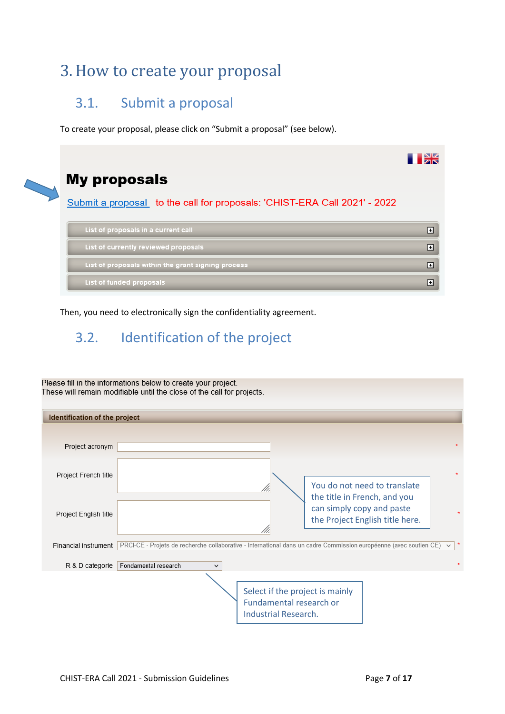## <span id="page-6-0"></span>3.How to create your proposal

### <span id="page-6-1"></span>3.1. Submit a proposal

To create your proposal, please click on "Submit a proposal" (see below).



Then, you need to electronically sign the confidentiality agreement.

## <span id="page-6-2"></span>3.2. Identification of the project

Please fill in the informations below to create your project. These will remain modifiable until the close of the call for projects.

| Identification of the project |                                                                                                                                                    |
|-------------------------------|----------------------------------------------------------------------------------------------------------------------------------------------------|
| Project acronym               |                                                                                                                                                    |
| Project French title          | You do not need to translate<br>the title in French, and you                                                                                       |
| Project English title         | can simply copy and paste<br>the Project English title here.                                                                                       |
| Financial instrument          | PRCI-CE - Projets de recherche collaborative - International dans un cadre Commission européenne (avec soutien CE)<br>$\pmb{\ast}$<br>$\checkmark$ |
| R & D categorie               | Fondamental research<br>$\check{ }$                                                                                                                |
|                               | Select if the project is mainly<br>Fundamental research or<br>Industrial Research.                                                                 |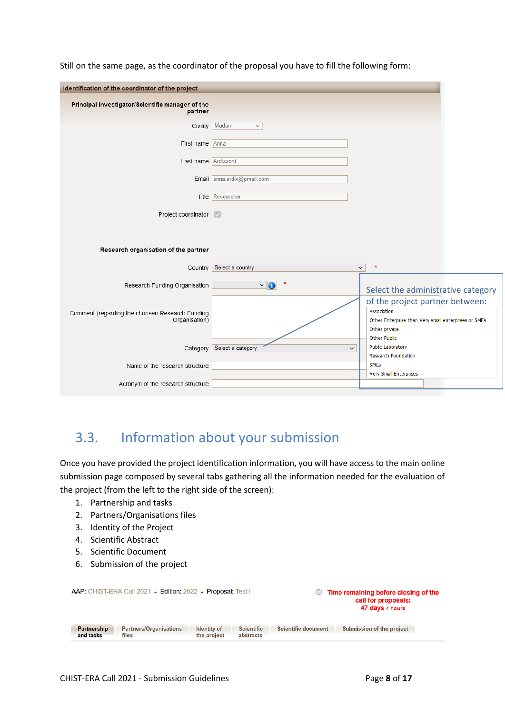| Identification of the coordinator of the project                 |                                           |                                                                                                                                         |
|------------------------------------------------------------------|-------------------------------------------|-----------------------------------------------------------------------------------------------------------------------------------------|
| Principal Investigator/Scientific manager of the<br>partner      |                                           |                                                                                                                                         |
| Civility                                                         | Madam<br>$\checkmark$                     |                                                                                                                                         |
| First name Anna                                                  |                                           |                                                                                                                                         |
| Last name Ardizzoni                                              |                                           |                                                                                                                                         |
|                                                                  | Email anna.ardix@gmail.com                |                                                                                                                                         |
|                                                                  | Title Researcher                          |                                                                                                                                         |
| Project coordinator                                              |                                           |                                                                                                                                         |
| Research organisation of the partner                             | Country Select a country                  | $\star$<br>$\checkmark$                                                                                                                 |
| Research Funding Organisation                                    | $\vee$ 6                                  |                                                                                                                                         |
|                                                                  |                                           | Select the administrative category                                                                                                      |
| Comment (regarding the choosen Research Funding<br>Organisation) |                                           | of the project partner between:<br>Association<br>Other Enterprise than Very small enterprises or SMEs<br>Other private<br>Other Public |
|                                                                  | Category Select a category<br>$\check{~}$ | <b>Public Laboratory</b>                                                                                                                |
| Name of the research structure                                   |                                           | Research Foundation<br><b>SMEs</b>                                                                                                      |
| Acronym of the research structure                                |                                           | Very Small Enterprises                                                                                                                  |

Still on the same page, as the coordinator of the proposal you have to fill the following form:

## <span id="page-7-0"></span>3.3. Information about your submission

Once you have provided the project identification information, you will have access to the main online submission page composed by several tabs gathering all the information needed for the evaluation of the project (from the left to the right side of the screen):

- 1. Partnership and tasks
- 2. Partners/Organisations files
- 3. Identity of the Project
- 4. Scientific Abstract
- 5. Scientific Document
- 6. Submission of the project

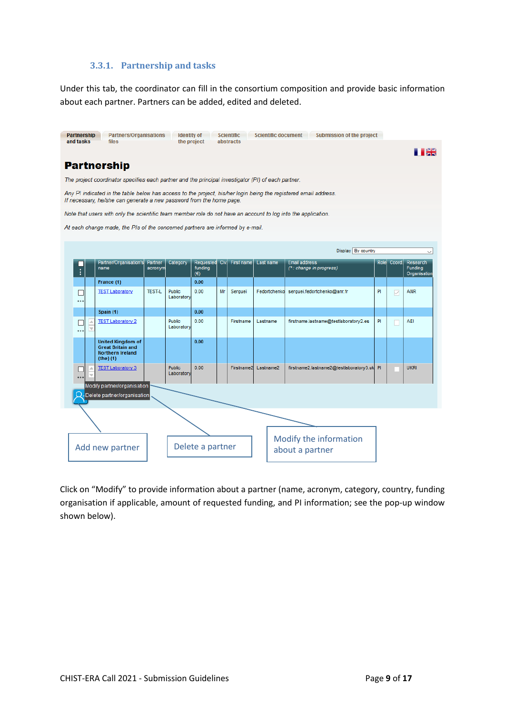### **3.3.1. Partnership and tasks**

<span id="page-8-0"></span>Under this tab, the coordinator can fill in the consortium composition and provide basic information about each partner. Partners can be added, edited and deleted.

| <b>Partnership</b><br>and tasks | <b>Partners/Organisations</b><br>files                                                                                                                                                   |                    | <b>Identity</b> of<br>the project |                                      |    | <b>Scientific</b><br>abstracts |              | <b>Scientific document</b> | <b>Submission of the project</b>        |    |                 |                                            |
|---------------------------------|------------------------------------------------------------------------------------------------------------------------------------------------------------------------------------------|--------------------|-----------------------------------|--------------------------------------|----|--------------------------------|--------------|----------------------------|-----------------------------------------|----|-----------------|--------------------------------------------|
|                                 |                                                                                                                                                                                          |                    |                                   |                                      |    |                                |              |                            |                                         |    |                 | PН                                         |
|                                 | <b>Partnership</b>                                                                                                                                                                       |                    |                                   |                                      |    |                                |              |                            |                                         |    |                 |                                            |
|                                 | The project coordinator specifies each partner and the principal investigator (PI) of each partner.                                                                                      |                    |                                   |                                      |    |                                |              |                            |                                         |    |                 |                                            |
|                                 | Any PI indicated in the table below has access to the project, his/her login being the registered email address.<br>If necessary, he/she can generate a new password from the home page. |                    |                                   |                                      |    |                                |              |                            |                                         |    |                 |                                            |
|                                 | Note that users with only the scientific team member role do not have an account to log into the application.                                                                            |                    |                                   |                                      |    |                                |              |                            |                                         |    |                 |                                            |
|                                 | At each change made, the PIs of the concerned partners are informed by e-mail.                                                                                                           |                    |                                   |                                      |    |                                |              |                            |                                         |    |                 |                                            |
|                                 |                                                                                                                                                                                          |                    |                                   |                                      |    |                                |              |                            |                                         |    |                 |                                            |
|                                 |                                                                                                                                                                                          |                    |                                   |                                      |    |                                |              |                            | Display By country                      |    |                 | $\checkmark$                               |
| $\vdots$                        | Partner/Organisation's<br>name                                                                                                                                                           | Partner<br>acronym | Category                          | Requested<br>funding<br>$(\epsilon)$ |    | Civ. First name                | Last name    | <b>Email address</b>       | $(*)$ : change in progress)             |    | Role Coord.     | Research<br><b>Funding</b><br>Organisation |
|                                 | France (1)                                                                                                                                                                               |                    |                                   | 0.00                                 |    |                                |              |                            |                                         |    |                 |                                            |
|                                 | <b>TEST Laboratory</b>                                                                                                                                                                   | <b>TEST-L</b>      | <b>Public</b><br>Laboratory       | 0.00                                 | Мr | Serguei                        | Fedortchenko |                            | serguei.fedortchenko@anr.fr             | PI | $\triangledown$ | <b>ANR</b>                                 |
|                                 | Spain (1)                                                                                                                                                                                |                    |                                   | 0.00                                 |    |                                |              |                            |                                         |    |                 |                                            |
|                                 | <b>TEST Laboratory 2</b>                                                                                                                                                                 |                    | <b>Public</b><br>Laboratory       | 0.00                                 |    | Firstname                      | Lastname     |                            | firstname.lastname@testlaboratory2.es   | PI |                 | AEI                                        |
|                                 | <b>United Kingdom of</b><br><b>Great Britain and</b><br><b>Northern Ireland</b><br>$(the)$ (1)                                                                                           |                    |                                   | 0.00                                 |    |                                |              |                            |                                         |    |                 |                                            |
|                                 | <b>TEST Laboratory 3</b>                                                                                                                                                                 |                    | <b>Public</b><br>Laboratory       | 0.00                                 |    | Firstname2                     | Lastname2    |                            | firstname2.lastname2@testlaboratory3.uk | P  |                 | <b>UKRI</b>                                |
|                                 | Modify partner/organisation                                                                                                                                                              |                    |                                   |                                      |    |                                |              |                            |                                         |    |                 |                                            |
|                                 | $\mathsf{Q}\text{-}$ Delete partner/organisation                                                                                                                                         |                    |                                   |                                      |    |                                |              |                            |                                         |    |                 |                                            |
|                                 |                                                                                                                                                                                          |                    |                                   |                                      |    |                                |              |                            |                                         |    |                 |                                            |
|                                 |                                                                                                                                                                                          |                    |                                   |                                      |    |                                |              |                            |                                         |    |                 |                                            |
|                                 | Add new partner                                                                                                                                                                          |                    |                                   | Delete a partner                     |    |                                |              | about a partner            | Modify the information                  |    |                 |                                            |
|                                 |                                                                                                                                                                                          |                    |                                   |                                      |    |                                |              |                            |                                         |    |                 |                                            |

Click on "Modify" to provide information about a partner (name, acronym, category, country, funding organisation if applicable, amount of requested funding, and PI information; see the pop-up window shown below).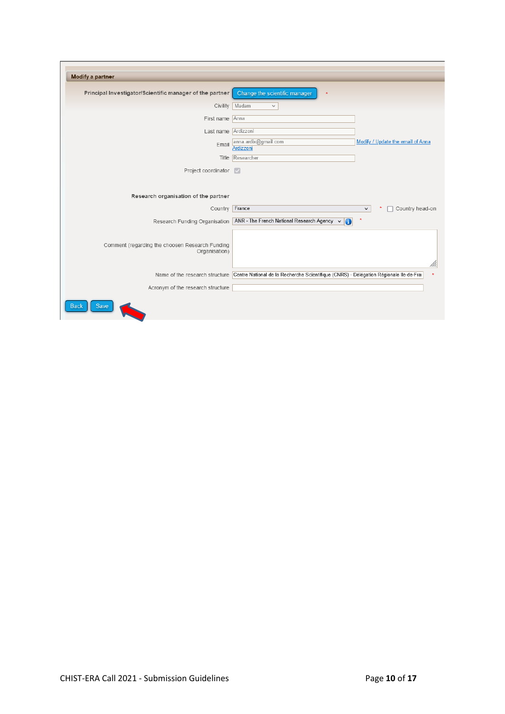| Principal Investigator/Scientific manager of the partner         | Change the scientific manager<br>$\star$                                                                              |
|------------------------------------------------------------------|-----------------------------------------------------------------------------------------------------------------------|
| Civility                                                         | Madam<br>$\checkmark$                                                                                                 |
| First name Anna                                                  |                                                                                                                       |
| Last name Ardizzoni                                              |                                                                                                                       |
| Email                                                            | Modify / Update the email of Anna<br>anna.ardix@gmail.com<br>Ardizzoni                                                |
|                                                                  | Title Researcher                                                                                                      |
| Project coordinator                                              | $\overline{\vee}$                                                                                                     |
| Research organisation of the partner                             |                                                                                                                       |
| Country France                                                   | Country head-on<br>$\checkmark$                                                                                       |
|                                                                  | Research Funding Organisation ANR - The French National Research Agency v<br>0                                        |
| Comment (regarding the choosen Research Funding<br>Organisation) |                                                                                                                       |
|                                                                  | Name of the research structure Centre National de la Recherche Scientifique (CNRS) - Délégation Régionale IIe-de-Fran |
|                                                                  |                                                                                                                       |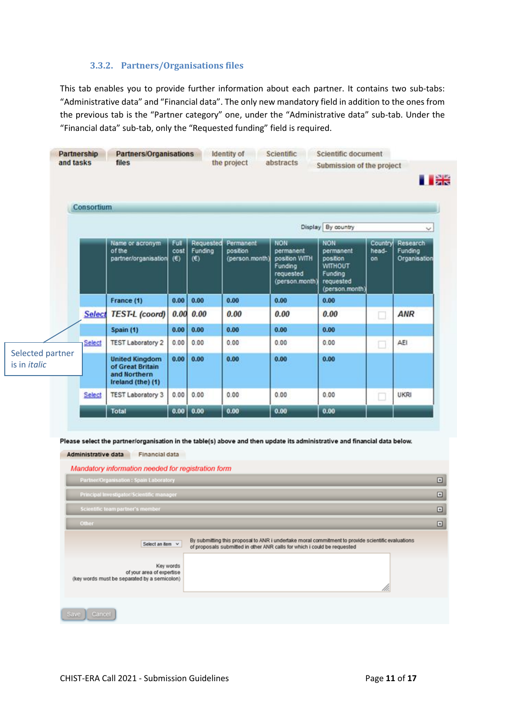### **3.3.2. Partners/Organisations files**

<span id="page-10-0"></span>This tab enables you to provide further information about each partner. It contains two sub-tabs: "Administrative data" and "Financial data". The only new mandatory field in addition to the ones from the previous tab is the "Partner category" one, under the "Administrative data" sub-tab. Under the "Financial data" sub-tab, only the "Requested funding" field is required.

|                                         | Consortium                                                                                                                                                                                                                                       |                                                                                                                                                                                                   |                     |                             |                                         |                                                                             |                                                                                          |                               |                                     |  |  |  |
|-----------------------------------------|--------------------------------------------------------------------------------------------------------------------------------------------------------------------------------------------------------------------------------------------------|---------------------------------------------------------------------------------------------------------------------------------------------------------------------------------------------------|---------------------|-----------------------------|-----------------------------------------|-----------------------------------------------------------------------------|------------------------------------------------------------------------------------------|-------------------------------|-------------------------------------|--|--|--|
|                                         |                                                                                                                                                                                                                                                  |                                                                                                                                                                                                   |                     |                             |                                         |                                                                             | Display By country                                                                       |                               | $\checkmark$                        |  |  |  |
|                                         |                                                                                                                                                                                                                                                  | Name or acronym<br>of the<br>partner/organisation                                                                                                                                                 | Full<br>cost<br>(6) | Requested<br>Funding<br>(E) | Permanent<br>position<br>(person.month) | NON<br>permanent<br>position WITH<br>Funding<br>requested<br>(person.month) | <b>NON</b><br>permanent<br>position<br>WITHOUT<br>Funding<br>requested<br>(person.month) | Country<br>head-<br><b>on</b> | Research<br>Funding<br>Organisation |  |  |  |
|                                         |                                                                                                                                                                                                                                                  | France (1)                                                                                                                                                                                        | 0.00                | 0.00                        | 0.00                                    | 0.00                                                                        | 0.00                                                                                     |                               |                                     |  |  |  |
|                                         | <b>Select</b>                                                                                                                                                                                                                                    | <b>TEST-L</b> (coord)                                                                                                                                                                             | 0.00                | 0.00                        | 0.00                                    | 0.00                                                                        | 0.00                                                                                     | □                             | <b>ANR</b>                          |  |  |  |
|                                         |                                                                                                                                                                                                                                                  | Spain (1)                                                                                                                                                                                         | 0.00                | 0.00                        | 0.00                                    | 0.00                                                                        | 0.00                                                                                     |                               |                                     |  |  |  |
|                                         | Select                                                                                                                                                                                                                                           | <b>TEST Laboratory 2</b>                                                                                                                                                                          | 0.00                | 0.00                        | 0.00                                    | 0.00                                                                        | 0.00                                                                                     | □                             | AEI                                 |  |  |  |
| Selected partner<br>is in <i>italic</i> |                                                                                                                                                                                                                                                  | <b>United Kingdom</b><br>of Great Britain<br>and Northern<br>Ireland (the) (1)                                                                                                                    | 0.00                | 0.00                        | 0.00                                    | 0.00                                                                        | 0.00                                                                                     |                               |                                     |  |  |  |
|                                         | Select                                                                                                                                                                                                                                           | <b>TEST Laboratory 3</b>                                                                                                                                                                          | 0.00                | 0.00                        | 0.00                                    | 0.00                                                                        | 0.00                                                                                     |                               | <b>UKRI</b>                         |  |  |  |
|                                         |                                                                                                                                                                                                                                                  | <b>Total</b>                                                                                                                                                                                      | 0.00                | 0.00                        | 0.00                                    | 0.00                                                                        | 0.00                                                                                     |                               |                                     |  |  |  |
|                                         | Administrative data                                                                                                                                                                                                                              | Please select the partner/organisation in the table(s) above and then update its administrative and financial data below.<br>Financial data<br>Mandatory information needed for registration form |                     |                             |                                         |                                                                             |                                                                                          |                               |                                     |  |  |  |
|                                         |                                                                                                                                                                                                                                                  | Partner/Organisation: Spain Laboratory                                                                                                                                                            |                     |                             |                                         |                                                                             |                                                                                          |                               |                                     |  |  |  |
|                                         |                                                                                                                                                                                                                                                  | Principal Investigator/Scientific manager                                                                                                                                                         |                     |                             |                                         |                                                                             |                                                                                          |                               |                                     |  |  |  |
|                                         |                                                                                                                                                                                                                                                  | Scientific team partner's member                                                                                                                                                                  |                     |                             |                                         |                                                                             |                                                                                          |                               |                                     |  |  |  |
|                                         | Other                                                                                                                                                                                                                                            |                                                                                                                                                                                                   |                     |                             |                                         |                                                                             |                                                                                          |                               |                                     |  |  |  |
|                                         | By submitting this proposal to ANR i undertake moral commitment to provide scientific evaluations<br>Select an item $\vee$<br>of proposals submitted in other ANR calls for which i could be requested<br>Key words<br>of your area of expertise |                                                                                                                                                                                                   |                     |                             |                                         |                                                                             |                                                                                          |                               |                                     |  |  |  |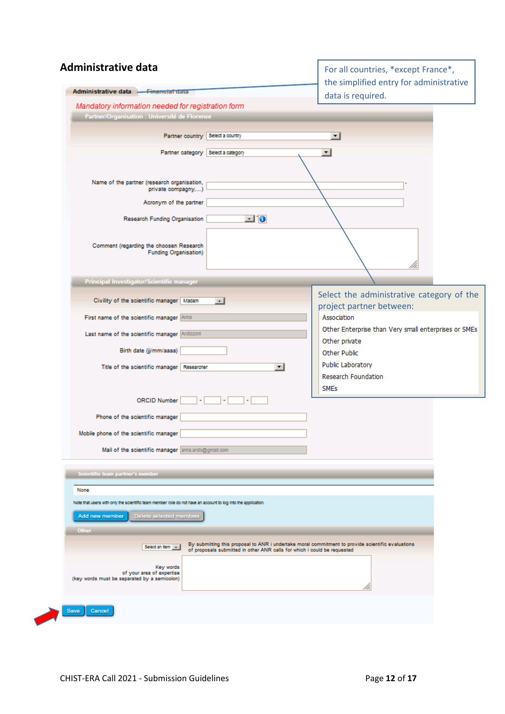| <b>Administrative data</b><br>For all countries, *except France*,<br>the simplified entry for administrative<br>Administrative data <del>- Financial data</del><br>data is required.<br>Mandatory information needed for registration form<br>Partner/Organisation : Université de Florence<br>Partner country   Select a country<br>▾∣<br>Partner category Select a category<br>$\blacktriangledown$<br>Name of the partner (research organisation,<br>private compagny,)<br>Acronym of the partner<br>$\blacksquare$ 10<br>Research Funding Organisation<br>Comment (regarding the choosen Research<br><b>Funding Organisation)</b><br>Principal Investigator/Scientific manager<br>Select the administrative category of the<br>Civility of the scientific manager Madam<br>$\cdot$ 1<br>project partner between:<br>Association<br>First name of the scientific manager Anna<br>Other Enterprise than Very small enterprises or SMEs<br>Last name of the scientific manager Ardizzoni<br>Other private<br>Birth date (jj/mm/aaaa)<br>Other Public<br>Public Laboratory<br>Title of the scientific manager   Researcher<br>▾▮<br>Research Foundation<br><b>SMEs</b><br><b>ORCID Number</b><br>Phone of the scientific manager<br>Mobile phone of the scientific manager<br>Mail of the scientific manager anna ardix@gmail.com<br>Scientific team partner's member<br>None<br>Note that users with only the scientific team member role do not have an account to log into the application.<br>Add new member<br>Delete selected members<br>Other<br>By submitting this proposal to ANR i undertake moral commitment to provide scientific evaluations<br>Select an item<br>of proposals submitted in other ANR calls for which i could be requested<br>Key words<br>of your area of expertise<br>(key words must be separated by a semicolon) |  |
|---------------------------------------------------------------------------------------------------------------------------------------------------------------------------------------------------------------------------------------------------------------------------------------------------------------------------------------------------------------------------------------------------------------------------------------------------------------------------------------------------------------------------------------------------------------------------------------------------------------------------------------------------------------------------------------------------------------------------------------------------------------------------------------------------------------------------------------------------------------------------------------------------------------------------------------------------------------------------------------------------------------------------------------------------------------------------------------------------------------------------------------------------------------------------------------------------------------------------------------------------------------------------------------------------------------------------------------------------------------------------------------------------------------------------------------------------------------------------------------------------------------------------------------------------------------------------------------------------------------------------------------------------------------------------------------------------------------------------------------------------------------------------------------------------------------------------------------------------|--|
|                                                                                                                                                                                                                                                                                                                                                                                                                                                                                                                                                                                                                                                                                                                                                                                                                                                                                                                                                                                                                                                                                                                                                                                                                                                                                                                                                                                                                                                                                                                                                                                                                                                                                                                                                                                                                                                   |  |
|                                                                                                                                                                                                                                                                                                                                                                                                                                                                                                                                                                                                                                                                                                                                                                                                                                                                                                                                                                                                                                                                                                                                                                                                                                                                                                                                                                                                                                                                                                                                                                                                                                                                                                                                                                                                                                                   |  |
|                                                                                                                                                                                                                                                                                                                                                                                                                                                                                                                                                                                                                                                                                                                                                                                                                                                                                                                                                                                                                                                                                                                                                                                                                                                                                                                                                                                                                                                                                                                                                                                                                                                                                                                                                                                                                                                   |  |
|                                                                                                                                                                                                                                                                                                                                                                                                                                                                                                                                                                                                                                                                                                                                                                                                                                                                                                                                                                                                                                                                                                                                                                                                                                                                                                                                                                                                                                                                                                                                                                                                                                                                                                                                                                                                                                                   |  |
|                                                                                                                                                                                                                                                                                                                                                                                                                                                                                                                                                                                                                                                                                                                                                                                                                                                                                                                                                                                                                                                                                                                                                                                                                                                                                                                                                                                                                                                                                                                                                                                                                                                                                                                                                                                                                                                   |  |
|                                                                                                                                                                                                                                                                                                                                                                                                                                                                                                                                                                                                                                                                                                                                                                                                                                                                                                                                                                                                                                                                                                                                                                                                                                                                                                                                                                                                                                                                                                                                                                                                                                                                                                                                                                                                                                                   |  |
|                                                                                                                                                                                                                                                                                                                                                                                                                                                                                                                                                                                                                                                                                                                                                                                                                                                                                                                                                                                                                                                                                                                                                                                                                                                                                                                                                                                                                                                                                                                                                                                                                                                                                                                                                                                                                                                   |  |
|                                                                                                                                                                                                                                                                                                                                                                                                                                                                                                                                                                                                                                                                                                                                                                                                                                                                                                                                                                                                                                                                                                                                                                                                                                                                                                                                                                                                                                                                                                                                                                                                                                                                                                                                                                                                                                                   |  |
|                                                                                                                                                                                                                                                                                                                                                                                                                                                                                                                                                                                                                                                                                                                                                                                                                                                                                                                                                                                                                                                                                                                                                                                                                                                                                                                                                                                                                                                                                                                                                                                                                                                                                                                                                                                                                                                   |  |
|                                                                                                                                                                                                                                                                                                                                                                                                                                                                                                                                                                                                                                                                                                                                                                                                                                                                                                                                                                                                                                                                                                                                                                                                                                                                                                                                                                                                                                                                                                                                                                                                                                                                                                                                                                                                                                                   |  |
|                                                                                                                                                                                                                                                                                                                                                                                                                                                                                                                                                                                                                                                                                                                                                                                                                                                                                                                                                                                                                                                                                                                                                                                                                                                                                                                                                                                                                                                                                                                                                                                                                                                                                                                                                                                                                                                   |  |
|                                                                                                                                                                                                                                                                                                                                                                                                                                                                                                                                                                                                                                                                                                                                                                                                                                                                                                                                                                                                                                                                                                                                                                                                                                                                                                                                                                                                                                                                                                                                                                                                                                                                                                                                                                                                                                                   |  |
|                                                                                                                                                                                                                                                                                                                                                                                                                                                                                                                                                                                                                                                                                                                                                                                                                                                                                                                                                                                                                                                                                                                                                                                                                                                                                                                                                                                                                                                                                                                                                                                                                                                                                                                                                                                                                                                   |  |
|                                                                                                                                                                                                                                                                                                                                                                                                                                                                                                                                                                                                                                                                                                                                                                                                                                                                                                                                                                                                                                                                                                                                                                                                                                                                                                                                                                                                                                                                                                                                                                                                                                                                                                                                                                                                                                                   |  |
|                                                                                                                                                                                                                                                                                                                                                                                                                                                                                                                                                                                                                                                                                                                                                                                                                                                                                                                                                                                                                                                                                                                                                                                                                                                                                                                                                                                                                                                                                                                                                                                                                                                                                                                                                                                                                                                   |  |
|                                                                                                                                                                                                                                                                                                                                                                                                                                                                                                                                                                                                                                                                                                                                                                                                                                                                                                                                                                                                                                                                                                                                                                                                                                                                                                                                                                                                                                                                                                                                                                                                                                                                                                                                                                                                                                                   |  |
|                                                                                                                                                                                                                                                                                                                                                                                                                                                                                                                                                                                                                                                                                                                                                                                                                                                                                                                                                                                                                                                                                                                                                                                                                                                                                                                                                                                                                                                                                                                                                                                                                                                                                                                                                                                                                                                   |  |
|                                                                                                                                                                                                                                                                                                                                                                                                                                                                                                                                                                                                                                                                                                                                                                                                                                                                                                                                                                                                                                                                                                                                                                                                                                                                                                                                                                                                                                                                                                                                                                                                                                                                                                                                                                                                                                                   |  |
|                                                                                                                                                                                                                                                                                                                                                                                                                                                                                                                                                                                                                                                                                                                                                                                                                                                                                                                                                                                                                                                                                                                                                                                                                                                                                                                                                                                                                                                                                                                                                                                                                                                                                                                                                                                                                                                   |  |
|                                                                                                                                                                                                                                                                                                                                                                                                                                                                                                                                                                                                                                                                                                                                                                                                                                                                                                                                                                                                                                                                                                                                                                                                                                                                                                                                                                                                                                                                                                                                                                                                                                                                                                                                                                                                                                                   |  |
|                                                                                                                                                                                                                                                                                                                                                                                                                                                                                                                                                                                                                                                                                                                                                                                                                                                                                                                                                                                                                                                                                                                                                                                                                                                                                                                                                                                                                                                                                                                                                                                                                                                                                                                                                                                                                                                   |  |
|                                                                                                                                                                                                                                                                                                                                                                                                                                                                                                                                                                                                                                                                                                                                                                                                                                                                                                                                                                                                                                                                                                                                                                                                                                                                                                                                                                                                                                                                                                                                                                                                                                                                                                                                                                                                                                                   |  |
|                                                                                                                                                                                                                                                                                                                                                                                                                                                                                                                                                                                                                                                                                                                                                                                                                                                                                                                                                                                                                                                                                                                                                                                                                                                                                                                                                                                                                                                                                                                                                                                                                                                                                                                                                                                                                                                   |  |
|                                                                                                                                                                                                                                                                                                                                                                                                                                                                                                                                                                                                                                                                                                                                                                                                                                                                                                                                                                                                                                                                                                                                                                                                                                                                                                                                                                                                                                                                                                                                                                                                                                                                                                                                                                                                                                                   |  |
|                                                                                                                                                                                                                                                                                                                                                                                                                                                                                                                                                                                                                                                                                                                                                                                                                                                                                                                                                                                                                                                                                                                                                                                                                                                                                                                                                                                                                                                                                                                                                                                                                                                                                                                                                                                                                                                   |  |
|                                                                                                                                                                                                                                                                                                                                                                                                                                                                                                                                                                                                                                                                                                                                                                                                                                                                                                                                                                                                                                                                                                                                                                                                                                                                                                                                                                                                                                                                                                                                                                                                                                                                                                                                                                                                                                                   |  |
| Save<br>Cancel                                                                                                                                                                                                                                                                                                                                                                                                                                                                                                                                                                                                                                                                                                                                                                                                                                                                                                                                                                                                                                                                                                                                                                                                                                                                                                                                                                                                                                                                                                                                                                                                                                                                                                                                                                                                                                    |  |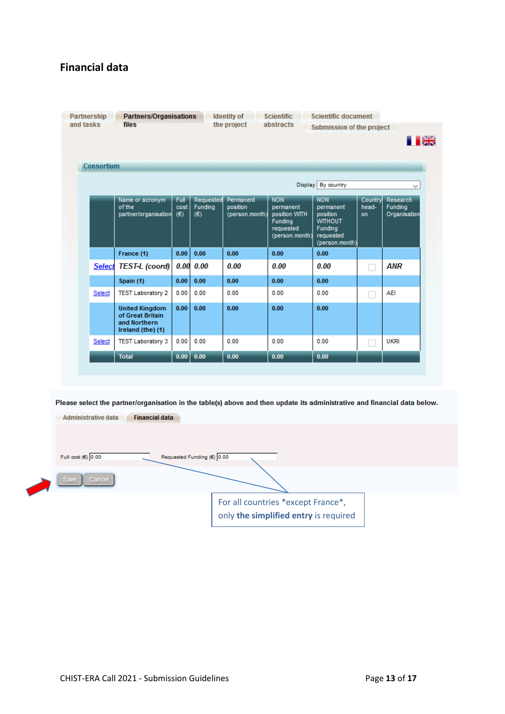### **Financial data**

|               |                                                                                |                     |                             |                                         | Display By country                                                                 | $\checkmark$                                                                                    |                        |                                            |
|---------------|--------------------------------------------------------------------------------|---------------------|-----------------------------|-----------------------------------------|------------------------------------------------------------------------------------|-------------------------------------------------------------------------------------------------|------------------------|--------------------------------------------|
|               | Name or acronym<br>of the<br>partner/organisation                              | Full<br>cost<br>(E) | Requested<br>Funding<br>(€) | Permanent<br>position<br>(person.month) | <b>NON</b><br>permanent<br>position WITH<br>Funding<br>requested<br>(person.month) | <b>NON</b><br>permanent<br>position<br><b>WITHOUT</b><br>Funding<br>requested<br>(person.month) | Country<br>head-<br>on | <b>Research</b><br>Funding<br>Organisation |
|               | France (1)                                                                     | 0.00                | 0.00                        | 0.00                                    | 0.00                                                                               | 0.00                                                                                            |                        |                                            |
| <b>Select</b> | <b>TEST-L</b> (coord)                                                          | 0.00                | 0.00                        | 0.00                                    | 0.00                                                                               | 0.00                                                                                            |                        | <b>ANR</b>                                 |
|               | Spain (1)                                                                      | 0.00                | 0.00                        | 0.00                                    | 0.00                                                                               | 0.00                                                                                            |                        |                                            |
| Select        | <b>TEST Laboratory 2</b>                                                       | 0.00                | 0.00                        | 0.00                                    | 0.00                                                                               | 0.00                                                                                            |                        | AEI                                        |
|               | <b>United Kingdom</b><br>of Great Britain<br>and Northern<br>Ireland (the) (1) | 0.00                | 0.00                        | 0.00                                    | 0.00                                                                               | 0.00                                                                                            |                        |                                            |
| Select        | <b>TEST Laboratory 3</b>                                                       | 0.00                | 0.00                        | 0.00                                    | 0.00                                                                               | 0.00                                                                                            |                        | <b>UKRI</b>                                |
|               | <b>Total</b>                                                                   | 0.00                | 0.00                        | 0.00                                    | 0.00                                                                               | 0.00                                                                                            |                        |                                            |

For all countries \*except France\*, only **the simplified entry** is required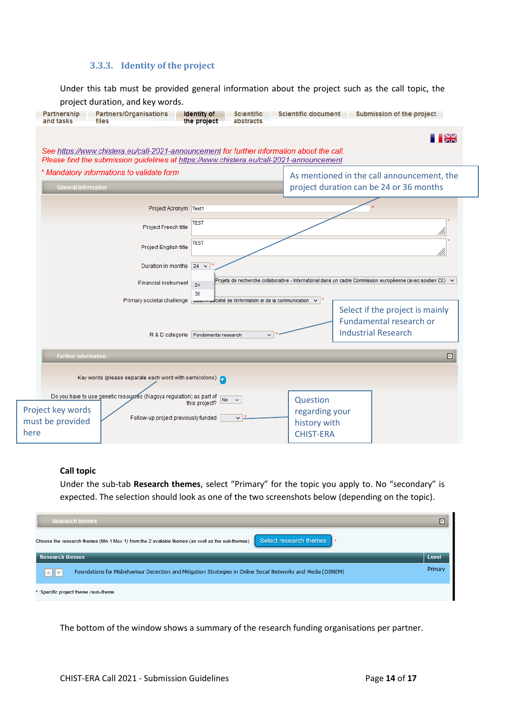### **3.3.3. Identity of the project**

<span id="page-13-0"></span>Under this tab must be provided general information about the project such as the call topic, the project duration, and key words.

| Partnership<br>and tasks<br>files                                                                                                                                                     | <b>Partners/Organisations</b>                                                        | <b>Identity of</b><br>the project      | <b>Scientific</b><br>abstracts                                                                             | <b>Scientific document</b>                                                            | Submission of the project       |           |
|---------------------------------------------------------------------------------------------------------------------------------------------------------------------------------------|--------------------------------------------------------------------------------------|----------------------------------------|------------------------------------------------------------------------------------------------------------|---------------------------------------------------------------------------------------|---------------------------------|-----------|
| See https://www.chistera.eu/call-2021-announcement for further information about the call.<br>Please find the submission guidelines at https://www.chistera.eu/call-2021-announcement |                                                                                      |                                        |                                                                                                            |                                                                                       |                                 | <b>DK</b> |
| * Mandatory informations to validate form<br><b>General information</b>                                                                                                               |                                                                                      |                                        |                                                                                                            | As mentioned in the call announcement, the<br>project duration can be 24 or 36 months |                                 |           |
|                                                                                                                                                                                       | Project Acronym Test1                                                                |                                        |                                                                                                            |                                                                                       |                                 |           |
|                                                                                                                                                                                       | <b>Project French title</b>                                                          | TEST                                   |                                                                                                            |                                                                                       |                                 |           |
|                                                                                                                                                                                       | Project English title                                                                | <b>TEST</b>                            |                                                                                                            |                                                                                       |                                 |           |
|                                                                                                                                                                                       | Duration in months $ 24 \rangle$                                                     |                                        |                                                                                                            |                                                                                       |                                 |           |
|                                                                                                                                                                                       | <b>Financial instrument</b>                                                          | 24<br>36                               | Projets de recherche collaborative - International dans un cadre Commission européenne (avec soutien CE) v |                                                                                       |                                 |           |
|                                                                                                                                                                                       | Primary societal challenge power - odciété de l'information et de la communication v |                                        |                                                                                                            |                                                                                       | Select if the project is mainly |           |
|                                                                                                                                                                                       |                                                                                      |                                        |                                                                                                            |                                                                                       | <b>Fundamental research or</b>  |           |
|                                                                                                                                                                                       |                                                                                      | R & D categorie   Fondamental research | v                                                                                                          |                                                                                       | <b>Industrial Research</b>      |           |
| <b>Further information</b>                                                                                                                                                            |                                                                                      |                                        |                                                                                                            |                                                                                       |                                 | $\Box$    |
|                                                                                                                                                                                       | Key words (please separate each word with semicolons)                                |                                        |                                                                                                            |                                                                                       |                                 |           |
|                                                                                                                                                                                       | Do you have to use genetic resources (Nagoya regulation) as part of                  | this project?                          | No<br>$\checkmark$                                                                                         | Question                                                                              |                                 |           |
| Project key words<br>must be provided<br>here                                                                                                                                         | Follow-up project previously funded                                                  |                                        | v                                                                                                          | regarding your<br>history with<br><b>CHIST-ERA</b>                                    |                                 |           |

#### **Call topic**

Under the sub-tab **Research themes**, select "Primary" for the topic you apply to. No "secondary" is expected. The selection should look as one of the two screenshots below (depending on the topic).

| <b>Research themes</b>                                                                                                     | $\square$ |  |  |  |  |
|----------------------------------------------------------------------------------------------------------------------------|-----------|--|--|--|--|
| Select research themes<br>Choose the research themes (Min 1 Max 1) from the 2 available themes (as well as the sub-themes) |           |  |  |  |  |
| <b>Research themes</b>                                                                                                     | Level     |  |  |  |  |
| Foundations for Misbehaviour Detection and Mitigation Strategies in Online Social Networks and Media (OSNEM)<br>∣∸∥≂∣      | Primary   |  |  |  |  |
| *:Specific project theme / sub-theme                                                                                       |           |  |  |  |  |

The bottom of the window shows a summary of the research funding organisations per partner.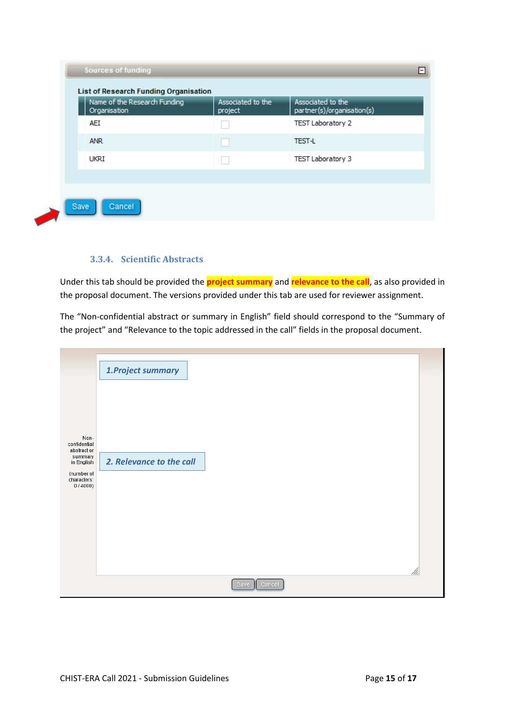| Name of the Research Funding<br>Organisation | Associated to the<br>project | Associated to the<br>partner(s)/organisation(s) |
|----------------------------------------------|------------------------------|-------------------------------------------------|
| AEI                                          |                              | <b>TEST Laboratory 2</b>                        |
| <b>ANR</b>                                   |                              | <b>TEST-L</b>                                   |
| ukri                                         |                              | <b>TEST Laboratory 3</b>                        |
|                                              |                              |                                                 |

### **3.3.4. Scientific Abstracts**

<span id="page-14-0"></span>Under this tab should be provided the **project summary** and **relevance to the call**, as also provided in the proposal document. The versions provided under this tab are used for reviewer assignment.

The "Non-confidential abstract or summary in English" field should correspond to the "Summary of the project" and "Relevance to the topic addressed in the call" fields in the proposal document.

|                                     | 1. Project summary       |  |
|-------------------------------------|--------------------------|--|
|                                     |                          |  |
|                                     |                          |  |
| Non-<br>confidential<br>abstract or |                          |  |
| summary<br>in English<br>(number of | 2. Relevance to the call |  |
| characters:<br>0/4000               |                          |  |
|                                     |                          |  |
|                                     |                          |  |
|                                     |                          |  |
|                                     | //i.<br>Save<br>Cancel   |  |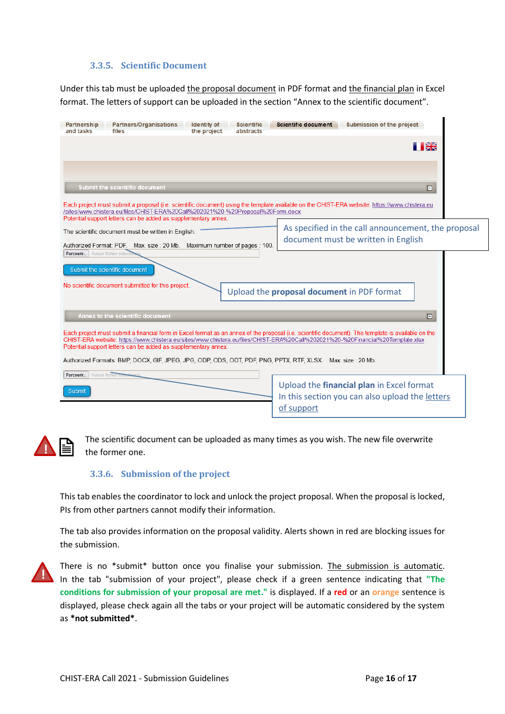### **3.3.5. Scientific Document**

<span id="page-15-0"></span>Under this tab must be uploaded the proposal document in PDF format and the financial plan in Excel format. The letters of support can be uploaded in the section "Annex to the scientific document".

| Submission of the project<br>Partnership<br>Partners/Organisations<br><b>Identity</b> of<br><b>Scientific document</b><br><b>Scientific</b><br>and tasks<br>files<br>the project<br>abstracts                                                                                                                                                          |  |  |  |  |  |  |  |
|--------------------------------------------------------------------------------------------------------------------------------------------------------------------------------------------------------------------------------------------------------------------------------------------------------------------------------------------------------|--|--|--|--|--|--|--|
| I DE                                                                                                                                                                                                                                                                                                                                                   |  |  |  |  |  |  |  |
|                                                                                                                                                                                                                                                                                                                                                        |  |  |  |  |  |  |  |
| Submit the scientific document<br>E                                                                                                                                                                                                                                                                                                                    |  |  |  |  |  |  |  |
| Each project must submit a proposal (i.e. scientific document) using the template available on the CHIST-ERA website: https://www.chistera.eu<br>/sites/www.chistera.eu/files/CHIST-ERA%20Call%202021%20-%20Proposal%20Form.docx                                                                                                                       |  |  |  |  |  |  |  |
| Potential support letters can be added as supplementary annex.<br>As specified in the call announcement, the proposal<br>The scientific document must be written in English.<br>document must be written in English<br>Maximum number of pages: 100.<br>Authorized Format: PDF.<br>Max. size: 20 Mb.                                                   |  |  |  |  |  |  |  |
| Parcourir   Aucun fichier sélec<br>Submit the scientific document                                                                                                                                                                                                                                                                                      |  |  |  |  |  |  |  |
| No scientific document submitted for this project.<br>Upload the proposal document in PDF format                                                                                                                                                                                                                                                       |  |  |  |  |  |  |  |
| Annex to the scientific document<br>E                                                                                                                                                                                                                                                                                                                  |  |  |  |  |  |  |  |
| Each project must submit a financial form in Excel format as an annex of the proposal (i.e. scientific document). The template is available on the<br>CHIST-ERA website: https://www.chistera.eu/sites/www.chistera.eu/files/CHIST-ERA%20Call%202021%20-%20Financial%20Template.xlsx<br>Potential support letters can be added as supplementary annex. |  |  |  |  |  |  |  |
| Authorized Formats: BMP, DOCX, GIF, JPEG, JPG, ODP, ODS, ODT, PDF, PNG, PPTX, RTF, XLSX. Max. size : 20 Mb.                                                                                                                                                                                                                                            |  |  |  |  |  |  |  |
| Parcourir   Aucun fichier sélectionné<br>Upload the financial plan in Excel format<br>Submit<br>In this section you can also upload the letters<br>of support                                                                                                                                                                                          |  |  |  |  |  |  |  |



The scientific document can be uploaded as many times as you wish. The new file overwrite the former one.

### **3.3.6. Submission of the project**

<span id="page-15-1"></span>This tab enables the coordinator to lock and unlock the project proposal. When the proposal is locked, PIs from other partners cannot modify their information.

The tab also provides information on the proposal validity. Alerts shown in red are blocking issues for the submission.



There is no \*submit\* button once you finalise your submission. The submission is automatic. In the tab "submission of your project", please check if a green sentence indicating that **"The conditions for submission of your proposal are met."** is displayed. If a **red** or an **orange** sentence is displayed, please check again all the tabs or your project will be automatic considered by the system as **\*not submitted\***.